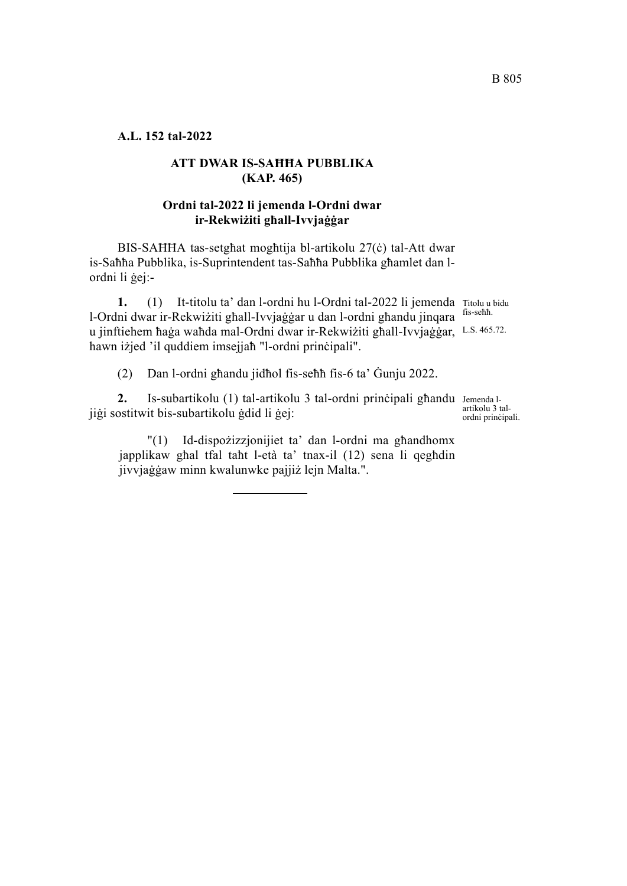**A.L. 152 tal-2022**

# **ATT DWAR IS-SAĦĦA PUBBLIKA (KAP. 465)**

## **Ordni tal-2022 li jemenda l-Ordni dwar ir-Rekwiżiti għall-Ivvjaġġar**

BIS-SAĦĦA tas-setgħat mogħtija bl-artikolu 27(ċ) tal-Att dwar is-Saħħa Pubblika, is-Suprintendent tas-Saħħa Pubblika għamlet dan lordni li ġej:-

1. (1) It-titolu ta' dan l-ordni hu l-Ordni tal-2022 li jemenda Titolu u bidu u jinftiehem ħaġa waħda mal-Ordni dwar ir-Rekwiżiti għall-Ivvjaġġar, L.S. 465.72. l-Ordni dwar ir-Rekwiżiti għall-Ivvjaġġar u dan l-ordni għandu jinqara hawn iżjed 'il quddiem imsejjaħ "l-ordni prinċipali".

(2) Dan l-ordni għandu jidħol fis-seħħ fis-6 ta' Ġunju 2022.

2. Is-subartikolu (1) tal-artikolu 3 tal-ordni prinċipali għandu Jemenda ljiġi sostitwit bis-subartikolu ġdid li ġej:

"(1) Id-dispożizzjonijiet ta' dan l-ordni ma għandhomx japplikaw għal tfal taħt l-età ta' tnax-il (12) sena li qegħdin jivvjaġġaw minn kwalunwke pajjiż lejn Malta.".

fis-seħħ.

artikolu 3 talordni prinċipali.